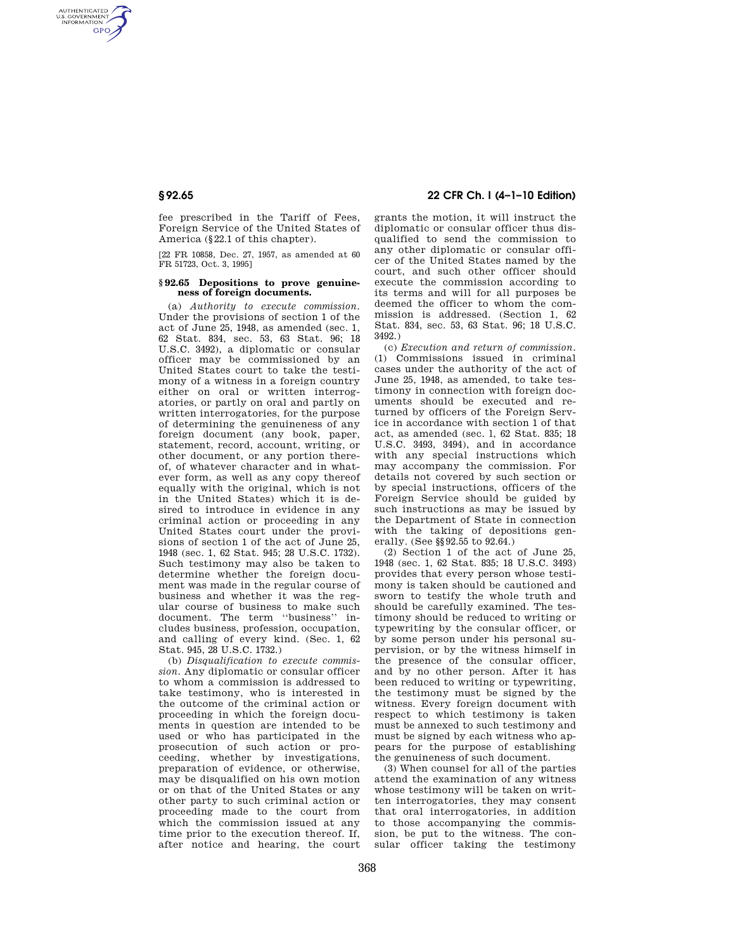AUTHENTICATED<br>U.S. GOVERNMENT<br>INFORMATION **GPO** 

> fee prescribed in the Tariff of Fees, Foreign Service of the United States of America (§22.1 of this chapter).

> [22 FR 10858, Dec. 27, 1957, as amended at 60 FR 51723, Oct. 3, 1995]

## **§ 92.65 Depositions to prove genuineness of foreign documents.**

(a) *Authority to execute commission.*  Under the provisions of section 1 of the act of June 25, 1948, as amended (sec. 1, 62 Stat. 834, sec. 53, 63 Stat. 96; 18 U.S.C. 3492), a diplomatic or consular officer may be commissioned by an United States court to take the testimony of a witness in a foreign country either on oral or written interrogatories, or partly on oral and partly on written interrogatories, for the purpose of determining the genuineness of any foreign document (any book, paper, statement, record, account, writing, or other document, or any portion thereof, of whatever character and in whatever form, as well as any copy thereof equally with the original, which is not in the United States) which it is desired to introduce in evidence in any criminal action or proceeding in any United States court under the provisions of section 1 of the act of June 25, 1948 (sec. 1, 62 Stat. 945; 28 U.S.C. 1732). Such testimony may also be taken to determine whether the foreign document was made in the regular course of business and whether it was the regular course of business to make such document. The term ''business'' includes business, profession, occupation, and calling of every kind. (Sec. 1, 62 Stat. 945, 28 U.S.C. 1732.)

(b) *Disqualification to execute commission.* Any diplomatic or consular officer to whom a commission is addressed to take testimony, who is interested in the outcome of the criminal action or proceeding in which the foreign documents in question are intended to be used or who has participated in the prosecution of such action or proceeding, whether by investigations, preparation of evidence, or otherwise, may be disqualified on his own motion or on that of the United States or any other party to such criminal action or proceeding made to the court from which the commission issued at any time prior to the execution thereof. If, after notice and hearing, the court

# **§ 92.65 22 CFR Ch. I (4–1–10 Edition)**

grants the motion, it will instruct the diplomatic or consular officer thus disqualified to send the commission to any other diplomatic or consular officer of the United States named by the court, and such other officer should execute the commission according to its terms and will for all purposes be deemed the officer to whom the commission is addressed. (Section 1, 62 Stat. 834, sec. 53, 63 Stat. 96; 18 U.S.C. 3492.)

(c) *Execution and return of commission.*  (1) Commissions issued in criminal cases under the authority of the act of June 25, 1948, as amended, to take testimony in connection with foreign documents should be executed and returned by officers of the Foreign Service in accordance with section 1 of that act, as amended (sec. l, 62 Stat. 835; 18 U.S.C. 3493, 3494), and in accordance with any special instructions which may accompany the commission. For details not covered by such section or by special instructions, officers of the Foreign Service should be guided by such instructions as may be issued by the Department of State in connection with the taking of depositions generally. (See §§92.55 to 92.64.)

(2) Section 1 of the act of June 25, 1948 (sec. 1, 62 Stat. 835; 18 U.S.C. 3493) provides that every person whose testimony is taken should be cautioned and sworn to testify the whole truth and should be carefully examined. The testimony should be reduced to writing or typewriting by the consular officer, or by some person under his personal supervision, or by the witness himself in the presence of the consular officer, and by no other person. After it has been reduced to writing or typewriting, the testimony must be signed by the witness. Every foreign document with respect to which testimony is taken must be annexed to such testimony and must be signed by each witness who appears for the purpose of establishing the genuineness of such document.

(3) When counsel for all of the parties attend the examination of any witness whose testimony will be taken on written interrogatories, they may consent that oral interrogatories, in addition to those accompanying the commission, be put to the witness. The consular officer taking the testimony